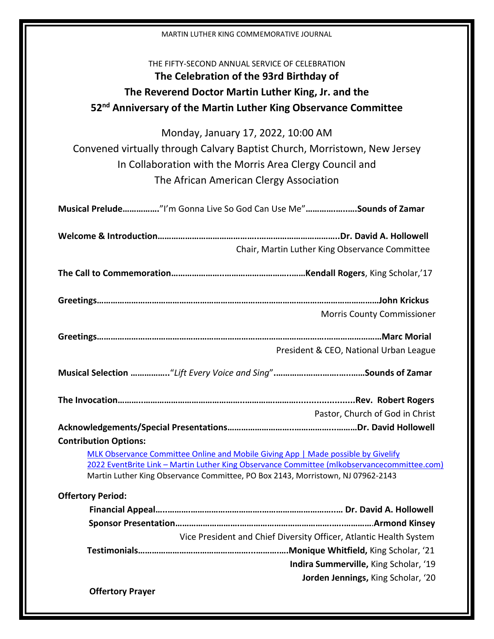| MARTIN LUTHER KING COMMEMORATIVE JOURNAL                                                                                                                                       |                                                                    |
|--------------------------------------------------------------------------------------------------------------------------------------------------------------------------------|--------------------------------------------------------------------|
| THE FIFTY-SECOND ANNUAL SERVICE OF CELEBRATION                                                                                                                                 |                                                                    |
| The Celebration of the 93rd Birthday of                                                                                                                                        |                                                                    |
| The Reverend Doctor Martin Luther King, Jr. and the                                                                                                                            |                                                                    |
| 52 <sup>nd</sup> Anniversary of the Martin Luther King Observance Committee                                                                                                    |                                                                    |
| Monday, January 17, 2022, 10:00 AM                                                                                                                                             |                                                                    |
| Convened virtually through Calvary Baptist Church, Morristown, New Jersey                                                                                                      |                                                                    |
| In Collaboration with the Morris Area Clergy Council and                                                                                                                       |                                                                    |
| The African American Clergy Association                                                                                                                                        |                                                                    |
| Musical Prelude"I'm Gonna Live So God Can Use Me"Sounds of Zamar                                                                                                               |                                                                    |
|                                                                                                                                                                                |                                                                    |
|                                                                                                                                                                                | Chair, Martin Luther King Observance Committee                     |
|                                                                                                                                                                                |                                                                    |
|                                                                                                                                                                                |                                                                    |
|                                                                                                                                                                                | <b>Morris County Commissioner</b>                                  |
|                                                                                                                                                                                |                                                                    |
|                                                                                                                                                                                | President & CEO, National Urban League                             |
|                                                                                                                                                                                |                                                                    |
|                                                                                                                                                                                |                                                                    |
|                                                                                                                                                                                | Pastor, Church of God in Christ                                    |
|                                                                                                                                                                                |                                                                    |
| <b>Contribution Options:</b>                                                                                                                                                   |                                                                    |
| MLK Observance Committee Online and Mobile Giving App   Made possible by Givelify                                                                                              |                                                                    |
| 2022 EventBrite Link - Martin Luther King Observance Committee (mlkobservancecommittee.com)<br>Martin Luther King Observance Committee, PO Box 2143, Morristown, NJ 07962-2143 |                                                                    |
| <b>Offertory Period:</b>                                                                                                                                                       |                                                                    |
|                                                                                                                                                                                |                                                                    |
|                                                                                                                                                                                |                                                                    |
|                                                                                                                                                                                | Vice President and Chief Diversity Officer, Atlantic Health System |
|                                                                                                                                                                                |                                                                    |
|                                                                                                                                                                                | Indira Summerville, King Scholar, '19                              |
|                                                                                                                                                                                | Jorden Jennings, King Scholar, '20                                 |
| <b>Offertory Prayer</b>                                                                                                                                                        |                                                                    |